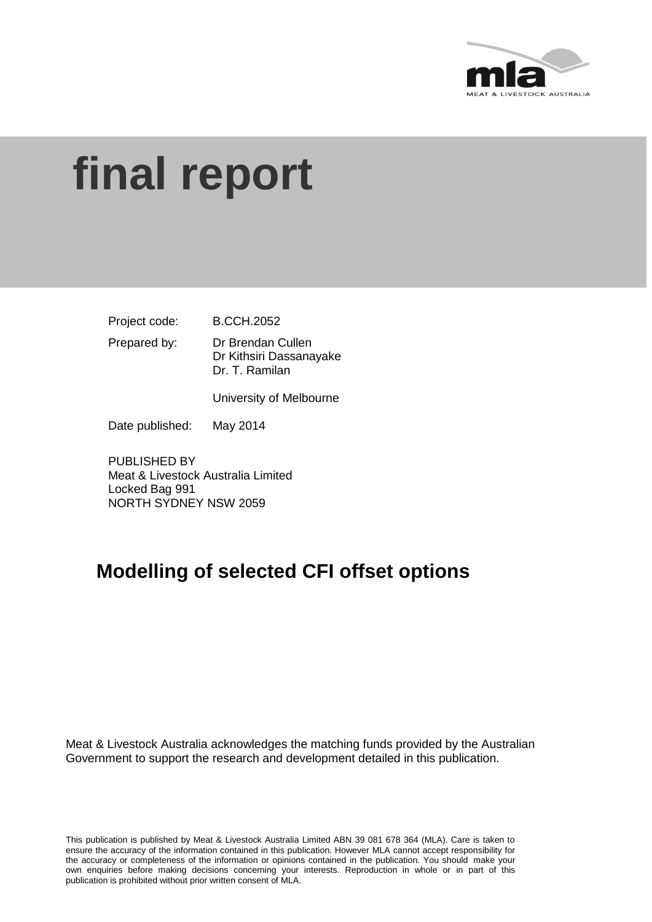

# **final report**

Project code: B.CCH.2052

Prepared by: Dr Brendan Cullen Dr Kithsiri Dassanayake Dr. T. Ramilan

University of Melbourne

Date published: May 2014

PUBLISHED BY Meat & Livestock Australia Limited Locked Bag 991 NORTH SYDNEY NSW 2059

# **Modelling of selected CFI offset options**

Meat & Livestock Australia acknowledges the matching funds provided by the Australian Government to support the research and development detailed in this publication.

This publication is published by Meat & Livestock Australia Limited ABN 39 081 678 364 (MLA). Care is taken to ensure the accuracy of the information contained in this publication. However MLA cannot accept responsibility for the accuracy or completeness of the information or opinions contained in the publication. You should make your own enquiries before making decisions concerning your interests. Reproduction in whole or in part of this publication is prohibited without prior written consent of MLA.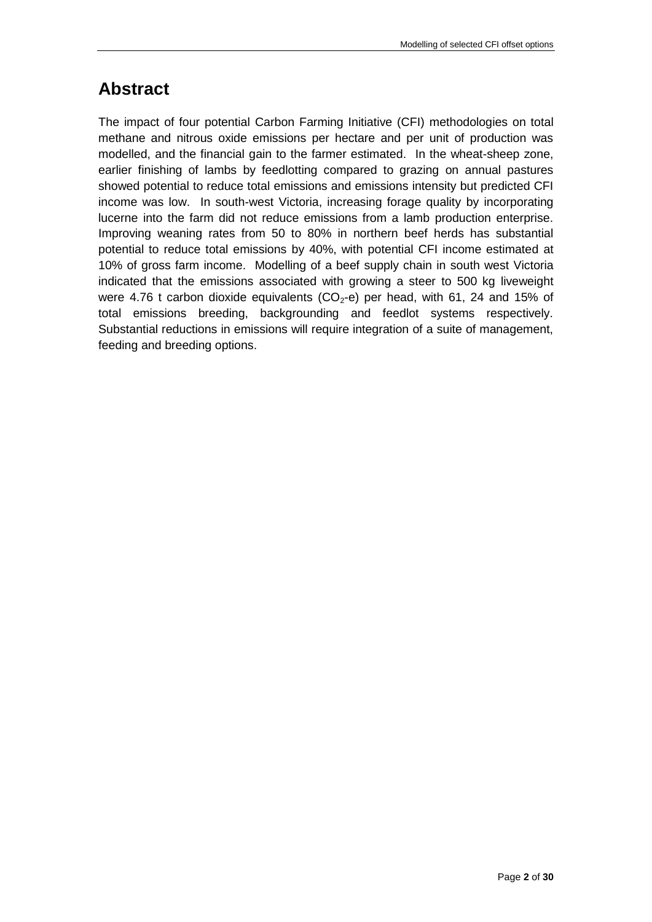## <span id="page-1-0"></span>**Abstract**

The impact of four potential Carbon Farming Initiative (CFI) methodologies on total methane and nitrous oxide emissions per hectare and per unit of production was modelled, and the financial gain to the farmer estimated. In the wheat-sheep zone, earlier finishing of lambs by feedlotting compared to grazing on annual pastures showed potential to reduce total emissions and emissions intensity but predicted CFI income was low. In south-west Victoria, increasing forage quality by incorporating lucerne into the farm did not reduce emissions from a lamb production enterprise. Improving weaning rates from 50 to 80% in northern beef herds has substantial potential to reduce total emissions by 40%, with potential CFI income estimated at 10% of gross farm income. Modelling of a beef supply chain in south west Victoria indicated that the emissions associated with growing a steer to 500 kg liveweight were 4.76 t carbon dioxide equivalents ( $CO<sub>2</sub>$ -e) per head, with 61, 24 and 15% of total emissions breeding, backgrounding and feedlot systems respectively. Substantial reductions in emissions will require integration of a suite of management, feeding and breeding options.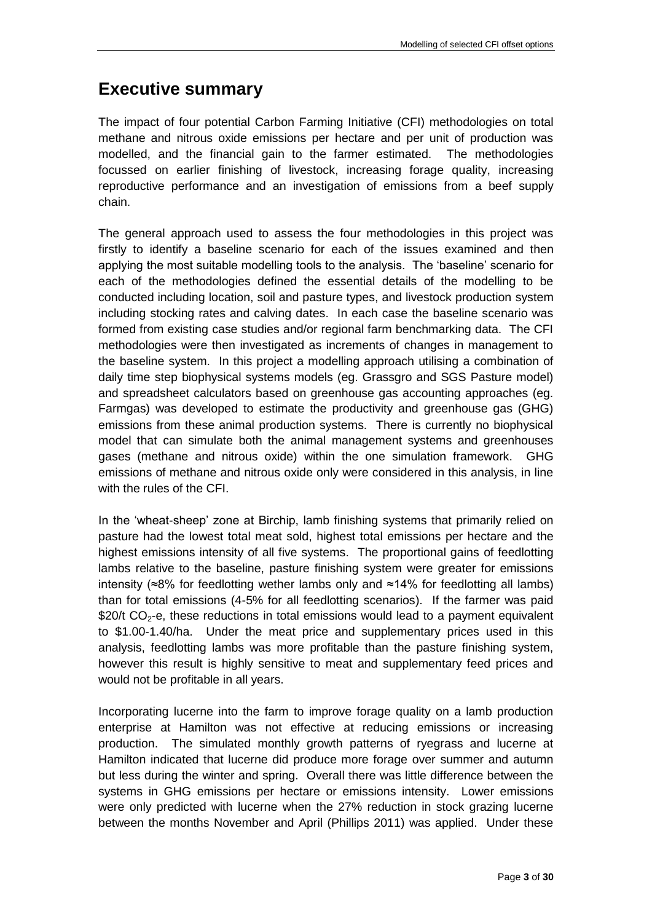## <span id="page-2-0"></span>**Executive summary**

The impact of four potential Carbon Farming Initiative (CFI) methodologies on total methane and nitrous oxide emissions per hectare and per unit of production was modelled, and the financial gain to the farmer estimated. The methodologies focussed on earlier finishing of livestock, increasing forage quality, increasing reproductive performance and an investigation of emissions from a beef supply chain.

The general approach used to assess the four methodologies in this project was firstly to identify a baseline scenario for each of the issues examined and then applying the most suitable modelling tools to the analysis. The 'baseline' scenario for each of the methodologies defined the essential details of the modelling to be conducted including location, soil and pasture types, and livestock production system including stocking rates and calving dates. In each case the baseline scenario was formed from existing case studies and/or regional farm benchmarking data. The CFI methodologies were then investigated as increments of changes in management to the baseline system. In this project a modelling approach utilising a combination of daily time step biophysical systems models (eg. Grassgro and SGS Pasture model) and spreadsheet calculators based on greenhouse gas accounting approaches (eg. Farmgas) was developed to estimate the productivity and greenhouse gas (GHG) emissions from these animal production systems. There is currently no biophysical model that can simulate both the animal management systems and greenhouses gases (methane and nitrous oxide) within the one simulation framework. GHG emissions of methane and nitrous oxide only were considered in this analysis, in line with the rules of the CFI.

In the 'wheat-sheep' zone at Birchip, lamb finishing systems that primarily relied on pasture had the lowest total meat sold, highest total emissions per hectare and the highest emissions intensity of all five systems. The proportional gains of feedlotting lambs relative to the baseline, pasture finishing system were greater for emissions intensity (≈8% for feedlotting wether lambs only and ≈14% for feedlotting all lambs) than for total emissions (4-5% for all feedlotting scenarios). If the farmer was paid \$20/t  $CO<sub>2</sub>$ -e, these reductions in total emissions would lead to a payment equivalent to \$1.00-1.40/ha. Under the meat price and supplementary prices used in this analysis, feedlotting lambs was more profitable than the pasture finishing system, however this result is highly sensitive to meat and supplementary feed prices and would not be profitable in all years.

Incorporating lucerne into the farm to improve forage quality on a lamb production enterprise at Hamilton was not effective at reducing emissions or increasing production. The simulated monthly growth patterns of ryegrass and lucerne at Hamilton indicated that lucerne did produce more forage over summer and autumn but less during the winter and spring. Overall there was little difference between the systems in GHG emissions per hectare or emissions intensity. Lower emissions were only predicted with lucerne when the 27% reduction in stock grazing lucerne between the months November and April (Phillips 2011) was applied. Under these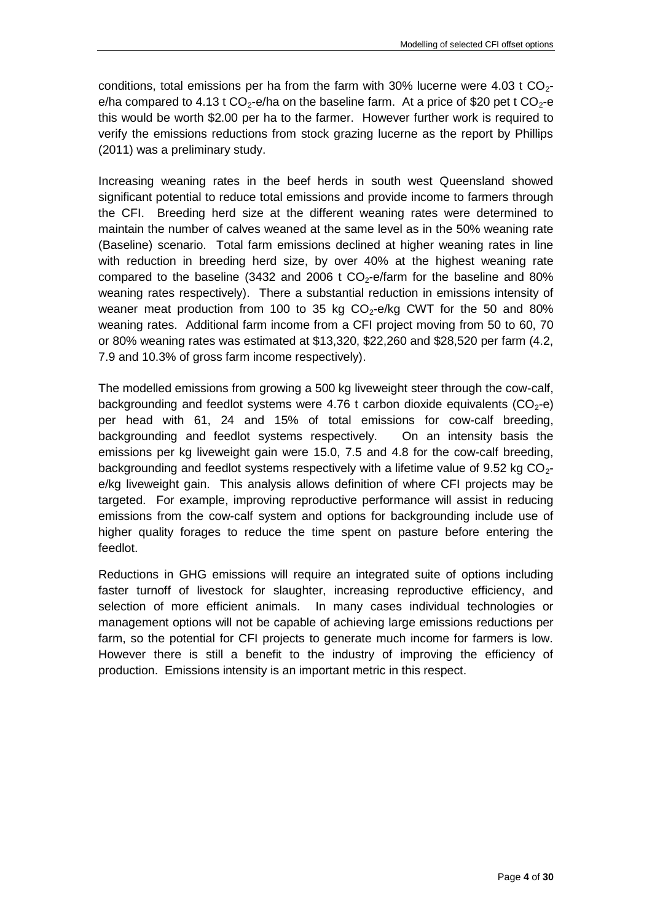conditions, total emissions per ha from the farm with 30% lucerne were 4.03 t  $CO<sub>2</sub>$ e/ha compared to 4.13 t  $CO_2$ -e/ha on the baseline farm. At a price of \$20 pet t  $CO_2$ -e this would be worth \$2.00 per ha to the farmer. However further work is required to verify the emissions reductions from stock grazing lucerne as the report by Phillips (2011) was a preliminary study.

Increasing weaning rates in the beef herds in south west Queensland showed significant potential to reduce total emissions and provide income to farmers through the CFI. Breeding herd size at the different weaning rates were determined to maintain the number of calves weaned at the same level as in the 50% weaning rate (Baseline) scenario. Total farm emissions declined at higher weaning rates in line with reduction in breeding herd size, by over 40% at the highest weaning rate compared to the baseline (3432 and 2006 t  $CO<sub>2</sub>$ -e/farm for the baseline and 80% weaning rates respectively). There a substantial reduction in emissions intensity of weaner meat production from 100 to 35 kg  $CO<sub>2</sub>$ -e/kg CWT for the 50 and 80% weaning rates. Additional farm income from a CFI project moving from 50 to 60, 70 or 80% weaning rates was estimated at \$13,320, \$22,260 and \$28,520 per farm (4.2, 7.9 and 10.3% of gross farm income respectively).

The modelled emissions from growing a 500 kg liveweight steer through the cow-calf, backgrounding and feedlot systems were 4.76 t carbon dioxide equivalents  $(CO<sub>2</sub>-e)$ per head with 61, 24 and 15% of total emissions for cow-calf breeding, backgrounding and feedlot systems respectively. On an intensity basis the emissions per kg liveweight gain were 15.0, 7.5 and 4.8 for the cow-calf breeding, backgrounding and feedlot systems respectively with a lifetime value of 9.52 kg  $CO<sub>2</sub>$ e/kg liveweight gain. This analysis allows definition of where CFI projects may be targeted. For example, improving reproductive performance will assist in reducing emissions from the cow-calf system and options for backgrounding include use of higher quality forages to reduce the time spent on pasture before entering the feedlot.

Reductions in GHG emissions will require an integrated suite of options including faster turnoff of livestock for slaughter, increasing reproductive efficiency, and selection of more efficient animals. In many cases individual technologies or management options will not be capable of achieving large emissions reductions per farm, so the potential for CFI projects to generate much income for farmers is low. However there is still a benefit to the industry of improving the efficiency of production. Emissions intensity is an important metric in this respect.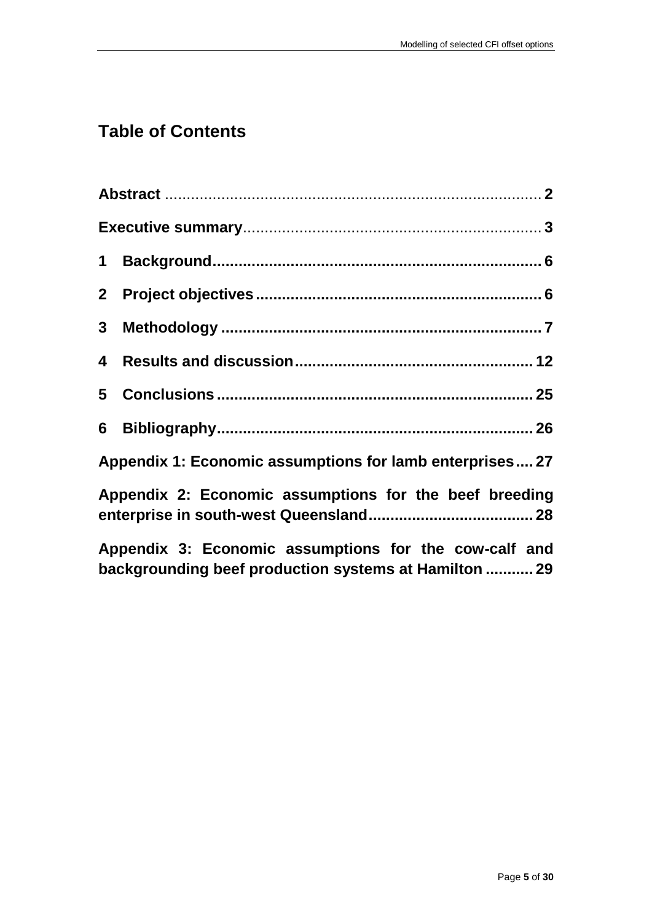# **Table of Contents**

| 3 <sup>1</sup> |                                                                                                                |
|----------------|----------------------------------------------------------------------------------------------------------------|
|                |                                                                                                                |
|                |                                                                                                                |
|                |                                                                                                                |
|                | Appendix 1: Economic assumptions for lamb enterprises 27                                                       |
|                | Appendix 2: Economic assumptions for the beef breeding                                                         |
|                | Appendix 3: Economic assumptions for the cow-calf and<br>backgrounding beef production systems at Hamilton  29 |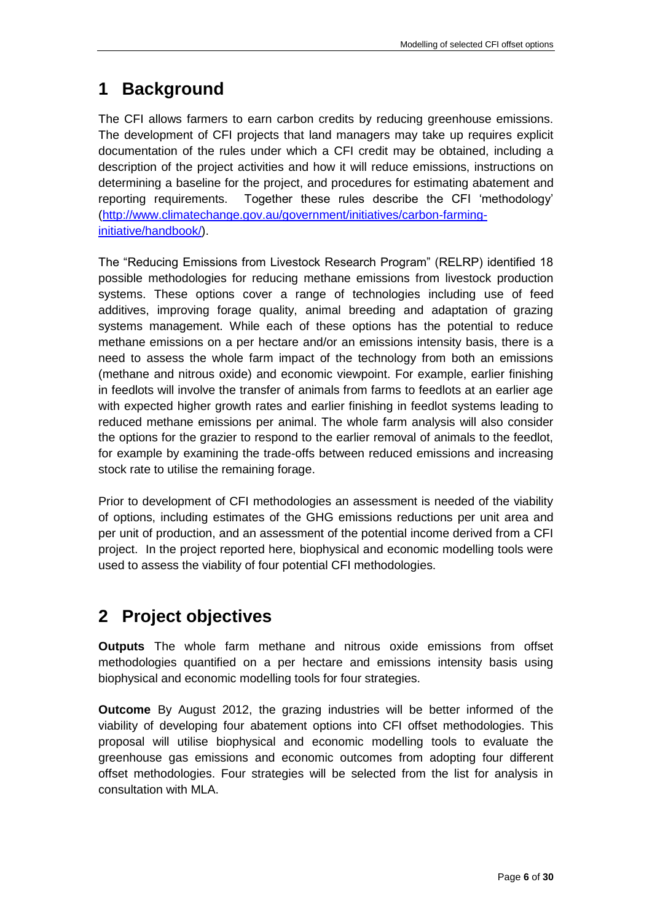## <span id="page-5-0"></span>**1 Background**

The CFI allows farmers to earn carbon credits by reducing greenhouse emissions. The development of CFI projects that land managers may take up requires explicit documentation of the rules under which a CFI credit may be obtained, including a description of the project activities and how it will reduce emissions, instructions on determining a baseline for the project, and procedures for estimating abatement and reporting requirements. Together these rules describe the CFI 'methodology' [\(http://www.climatechange.gov.au/government/initiatives/carbon-farming](http://www.climatechange.gov.au/government/initiatives/carbon-farming-initiative/handbook/)[initiative/handbook/\)](http://www.climatechange.gov.au/government/initiatives/carbon-farming-initiative/handbook/).

The "Reducing Emissions from Livestock Research Program" (RELRP) identified 18 possible methodologies for reducing methane emissions from livestock production systems. These options cover a range of technologies including use of feed additives, improving forage quality, animal breeding and adaptation of grazing systems management. While each of these options has the potential to reduce methane emissions on a per hectare and/or an emissions intensity basis, there is a need to assess the whole farm impact of the technology from both an emissions (methane and nitrous oxide) and economic viewpoint. For example, earlier finishing in feedlots will involve the transfer of animals from farms to feedlots at an earlier age with expected higher growth rates and earlier finishing in feedlot systems leading to reduced methane emissions per animal. The whole farm analysis will also consider the options for the grazier to respond to the earlier removal of animals to the feedlot, for example by examining the trade-offs between reduced emissions and increasing stock rate to utilise the remaining forage.

Prior to development of CFI methodologies an assessment is needed of the viability of options, including estimates of the GHG emissions reductions per unit area and per unit of production, and an assessment of the potential income derived from a CFI project. In the project reported here, biophysical and economic modelling tools were used to assess the viability of four potential CFI methodologies.

## <span id="page-5-1"></span>**2 Project objectives**

**Outputs** The whole farm methane and nitrous oxide emissions from offset methodologies quantified on a per hectare and emissions intensity basis using biophysical and economic modelling tools for four strategies.

**Outcome** By August 2012, the grazing industries will be better informed of the viability of developing four abatement options into CFI offset methodologies. This proposal will utilise biophysical and economic modelling tools to evaluate the greenhouse gas emissions and economic outcomes from adopting four different offset methodologies. Four strategies will be selected from the list for analysis in consultation with MLA.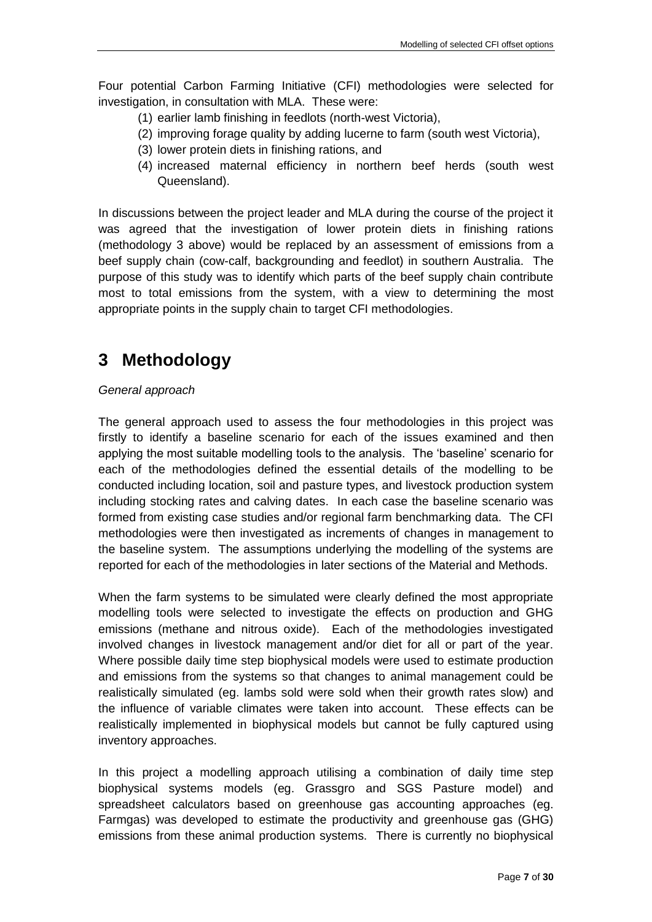Four potential Carbon Farming Initiative (CFI) methodologies were selected for investigation, in consultation with MLA. These were:

- (1) earlier lamb finishing in feedlots (north-west Victoria),
- (2) improving forage quality by adding lucerne to farm (south west Victoria),
- (3) lower protein diets in finishing rations, and
- (4) increased maternal efficiency in northern beef herds (south west Queensland).

In discussions between the project leader and MLA during the course of the project it was agreed that the investigation of lower protein diets in finishing rations (methodology 3 above) would be replaced by an assessment of emissions from a beef supply chain (cow-calf, backgrounding and feedlot) in southern Australia. The purpose of this study was to identify which parts of the beef supply chain contribute most to total emissions from the system, with a view to determining the most appropriate points in the supply chain to target CFI methodologies.

## <span id="page-6-0"></span>**3 Methodology**

#### *General approach*

The general approach used to assess the four methodologies in this project was firstly to identify a baseline scenario for each of the issues examined and then applying the most suitable modelling tools to the analysis. The 'baseline' scenario for each of the methodologies defined the essential details of the modelling to be conducted including location, soil and pasture types, and livestock production system including stocking rates and calving dates. In each case the baseline scenario was formed from existing case studies and/or regional farm benchmarking data. The CFI methodologies were then investigated as increments of changes in management to the baseline system. The assumptions underlying the modelling of the systems are reported for each of the methodologies in later sections of the Material and Methods.

When the farm systems to be simulated were clearly defined the most appropriate modelling tools were selected to investigate the effects on production and GHG emissions (methane and nitrous oxide). Each of the methodologies investigated involved changes in livestock management and/or diet for all or part of the year. Where possible daily time step biophysical models were used to estimate production and emissions from the systems so that changes to animal management could be realistically simulated (eg. lambs sold were sold when their growth rates slow) and the influence of variable climates were taken into account. These effects can be realistically implemented in biophysical models but cannot be fully captured using inventory approaches.

In this project a modelling approach utilising a combination of daily time step biophysical systems models (eg. Grassgro and SGS Pasture model) and spreadsheet calculators based on greenhouse gas accounting approaches (eg. Farmgas) was developed to estimate the productivity and greenhouse gas (GHG) emissions from these animal production systems. There is currently no biophysical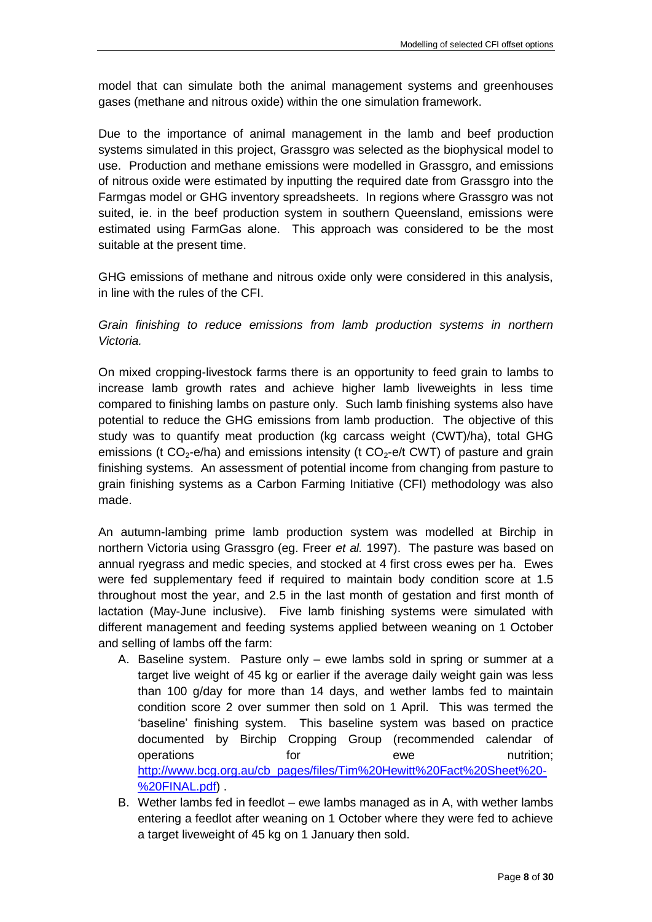model that can simulate both the animal management systems and greenhouses gases (methane and nitrous oxide) within the one simulation framework.

Due to the importance of animal management in the lamb and beef production systems simulated in this project, Grassgro was selected as the biophysical model to use. Production and methane emissions were modelled in Grassgro, and emissions of nitrous oxide were estimated by inputting the required date from Grassgro into the Farmgas model or GHG inventory spreadsheets. In regions where Grassgro was not suited, ie. in the beef production system in southern Queensland, emissions were estimated using FarmGas alone. This approach was considered to be the most suitable at the present time.

GHG emissions of methane and nitrous oxide only were considered in this analysis, in line with the rules of the CFI.

*Grain finishing to reduce emissions from lamb production systems in northern Victoria.*

On mixed cropping-livestock farms there is an opportunity to feed grain to lambs to increase lamb growth rates and achieve higher lamb liveweights in less time compared to finishing lambs on pasture only. Such lamb finishing systems also have potential to reduce the GHG emissions from lamb production. The objective of this study was to quantify meat production (kg carcass weight (CWT)/ha), total GHG emissions (t CO<sub>2</sub>-e/ha) and emissions intensity (t CO<sub>2</sub>-e/t CWT) of pasture and grain finishing systems. An assessment of potential income from changing from pasture to grain finishing systems as a Carbon Farming Initiative (CFI) methodology was also made.

An autumn-lambing prime lamb production system was modelled at Birchip in northern Victoria using Grassgro (eg. Freer *et al.* 1997). The pasture was based on annual ryegrass and medic species, and stocked at 4 first cross ewes per ha. Ewes were fed supplementary feed if required to maintain body condition score at 1.5 throughout most the year, and 2.5 in the last month of gestation and first month of lactation (May-June inclusive). Five lamb finishing systems were simulated with different management and feeding systems applied between weaning on 1 October and selling of lambs off the farm:

- A. Baseline system. Pasture only ewe lambs sold in spring or summer at a target live weight of 45 kg or earlier if the average daily weight gain was less than 100 g/day for more than 14 days, and wether lambs fed to maintain condition score 2 over summer then sold on 1 April. This was termed the 'baseline' finishing system. This baseline system was based on practice documented by Birchip Cropping Group (recommended calendar of operations **for hall** for **ewe hutrition**; [http://www.bcg.org.au/cb\\_pages/files/Tim%20Hewitt%20Fact%20Sheet%20-](http://www.bcg.org.au/cb_pages/files/Tim%20Hewitt%20Fact%20Sheet%20-%20FINAL.pdf) [%20FINAL.pdf\)](http://www.bcg.org.au/cb_pages/files/Tim%20Hewitt%20Fact%20Sheet%20-%20FINAL.pdf) .
- B. Wether lambs fed in feedlot ewe lambs managed as in A, with wether lambs entering a feedlot after weaning on 1 October where they were fed to achieve a target liveweight of 45 kg on 1 January then sold.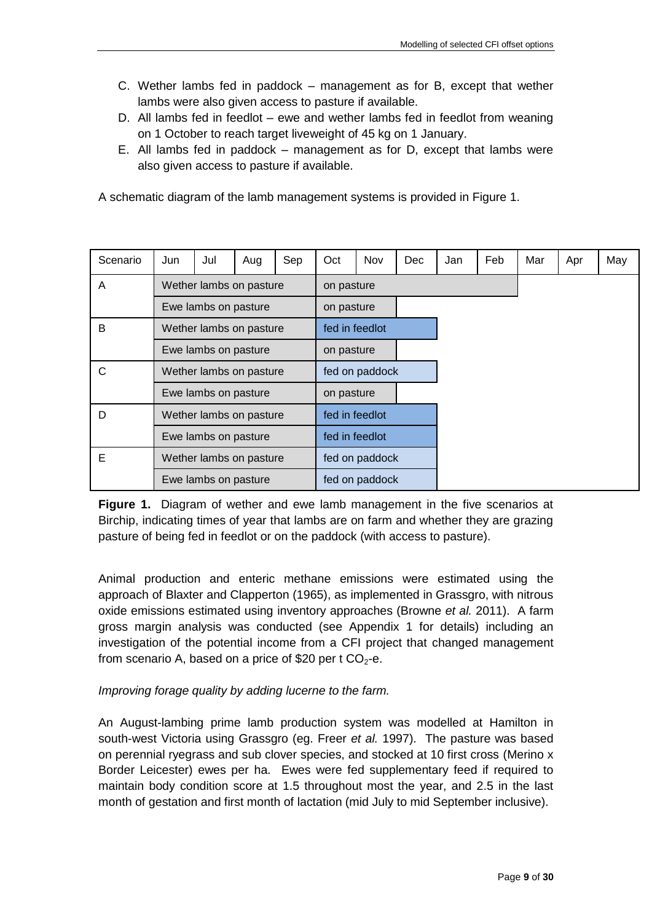- C. Wether lambs fed in paddock management as for B, except that wether lambs were also given access to pasture if available.
- D. All lambs fed in feedlot ewe and wether lambs fed in feedlot from weaning on 1 October to reach target liveweight of 45 kg on 1 January.
- E. All lambs fed in paddock management as for D, except that lambs were also given access to pasture if available.

A schematic diagram of the lamb management systems is provided in Figure 1.

| Scenario             | Jun                     | Jul            | Aug                  | Sep            | Oct        | <b>Nov</b>     | <b>Dec</b> | Jan | Feb | Mar | Apr | May |
|----------------------|-------------------------|----------------|----------------------|----------------|------------|----------------|------------|-----|-----|-----|-----|-----|
| A                    | Wether lambs on pasture |                | on pasture           |                |            |                |            |     |     |     |     |     |
|                      | Ewe lambs on pasture    |                |                      | on pasture     |            |                |            |     |     |     |     |     |
| B                    | Wether lambs on pasture |                | fed in feedlot       |                |            |                |            |     |     |     |     |     |
|                      | Ewe lambs on pasture    |                |                      | on pasture     |            |                |            |     |     |     |     |     |
| C                    | Wether lambs on pasture |                |                      |                |            | fed on paddock |            |     |     |     |     |     |
|                      | Ewe lambs on pasture    |                |                      |                | on pasture |                |            |     |     |     |     |     |
| D                    | Wether lambs on pasture |                | fed in feedlot       |                |            |                |            |     |     |     |     |     |
| Ewe lambs on pasture |                         | fed in feedlot |                      |                |            |                |            |     |     |     |     |     |
| Е                    | Wether lambs on pasture |                |                      | fed on paddock |            |                |            |     |     |     |     |     |
|                      |                         |                | Ewe lambs on pasture |                |            | fed on paddock |            |     |     |     |     |     |

**Figure 1.** Diagram of wether and ewe lamb management in the five scenarios at Birchip, indicating times of year that lambs are on farm and whether they are grazing pasture of being fed in feedlot or on the paddock (with access to pasture).

Animal production and enteric methane emissions were estimated using the approach of Blaxter and Clapperton (1965), as implemented in Grassgro, with nitrous oxide emissions estimated using inventory approaches (Browne *et al.* 2011). A farm gross margin analysis was conducted (see Appendix 1 for details) including an investigation of the potential income from a CFI project that changed management from scenario A, based on a price of \$20 per t  $CO<sub>2</sub>$ -e.

#### *Improving forage quality by adding lucerne to the farm.*

An August-lambing prime lamb production system was modelled at Hamilton in south-west Victoria using Grassgro (eg. Freer *et al.* 1997). The pasture was based on perennial ryegrass and sub clover species, and stocked at 10 first cross (Merino x Border Leicester) ewes per ha. Ewes were fed supplementary feed if required to maintain body condition score at 1.5 throughout most the year, and 2.5 in the last month of gestation and first month of lactation (mid July to mid September inclusive).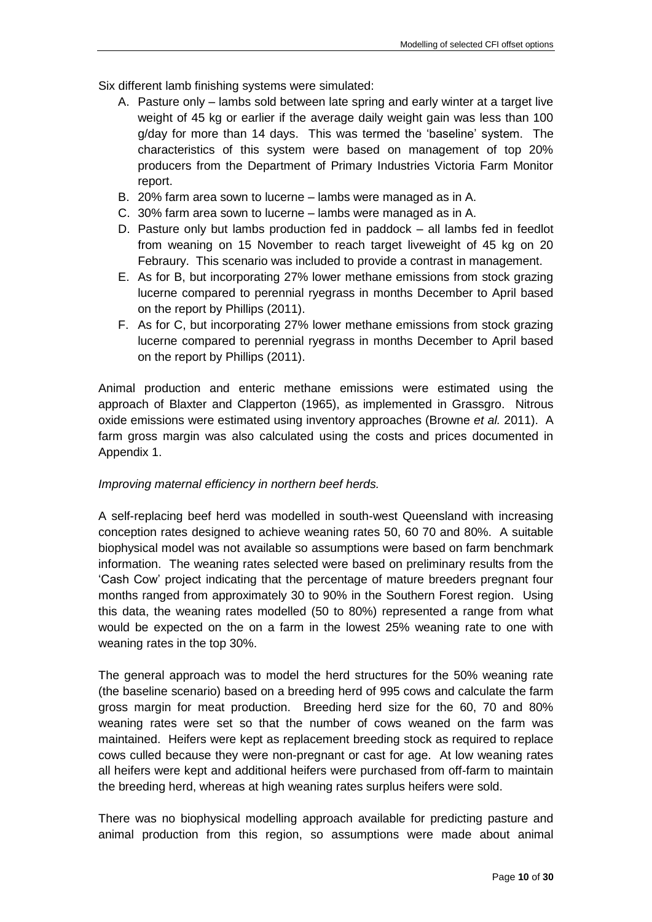Six different lamb finishing systems were simulated:

- A. Pasture only lambs sold between late spring and early winter at a target live weight of 45 kg or earlier if the average daily weight gain was less than 100 g/day for more than 14 days. This was termed the 'baseline' system. The characteristics of this system were based on management of top 20% producers from the Department of Primary Industries Victoria Farm Monitor report.
- B. 20% farm area sown to lucerne lambs were managed as in A.
- C. 30% farm area sown to lucerne lambs were managed as in A.
- D. Pasture only but lambs production fed in paddock all lambs fed in feedlot from weaning on 15 November to reach target liveweight of 45 kg on 20 Febraury. This scenario was included to provide a contrast in management.
- E. As for B, but incorporating 27% lower methane emissions from stock grazing lucerne compared to perennial ryegrass in months December to April based on the report by Phillips (2011).
- F. As for C, but incorporating 27% lower methane emissions from stock grazing lucerne compared to perennial ryegrass in months December to April based on the report by Phillips (2011).

Animal production and enteric methane emissions were estimated using the approach of Blaxter and Clapperton (1965), as implemented in Grassgro. Nitrous oxide emissions were estimated using inventory approaches (Browne *et al.* 2011). A farm gross margin was also calculated using the costs and prices documented in Appendix 1.

#### *Improving maternal efficiency in northern beef herds.*

A self-replacing beef herd was modelled in south-west Queensland with increasing conception rates designed to achieve weaning rates 50, 60 70 and 80%. A suitable biophysical model was not available so assumptions were based on farm benchmark information. The weaning rates selected were based on preliminary results from the 'Cash Cow' project indicating that the percentage of mature breeders pregnant four months ranged from approximately 30 to 90% in the Southern Forest region. Using this data, the weaning rates modelled (50 to 80%) represented a range from what would be expected on the on a farm in the lowest 25% weaning rate to one with weaning rates in the top 30%.

The general approach was to model the herd structures for the 50% weaning rate (the baseline scenario) based on a breeding herd of 995 cows and calculate the farm gross margin for meat production. Breeding herd size for the 60, 70 and 80% weaning rates were set so that the number of cows weaned on the farm was maintained. Heifers were kept as replacement breeding stock as required to replace cows culled because they were non-pregnant or cast for age. At low weaning rates all heifers were kept and additional heifers were purchased from off-farm to maintain the breeding herd, whereas at high weaning rates surplus heifers were sold.

There was no biophysical modelling approach available for predicting pasture and animal production from this region, so assumptions were made about animal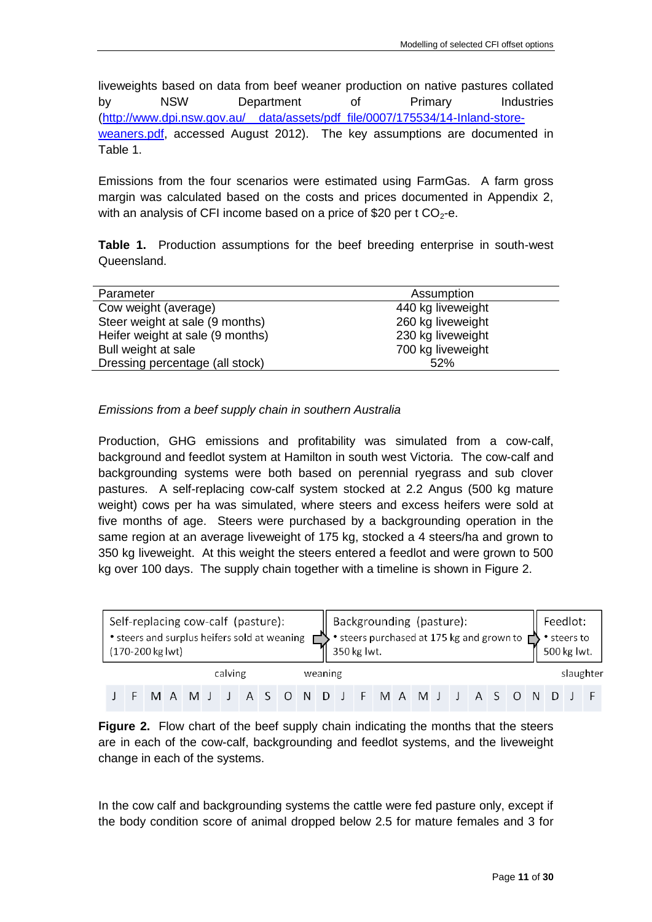liveweights based on data from beef weaner production on native pastures collated by NSW Department of Primary Industries [\(http://www.dpi.nsw.gov.au/\\_\\_data/assets/pdf\\_file/0007/175534/14-Inland-store](http://www.dpi.nsw.gov.au/__data/assets/pdf_file/0007/175534/14-Inland-store-weaners.pdf)[weaners.pdf,](http://www.dpi.nsw.gov.au/__data/assets/pdf_file/0007/175534/14-Inland-store-weaners.pdf) accessed August 2012). The key assumptions are documented in Table 1.

Emissions from the four scenarios were estimated using FarmGas. A farm gross margin was calculated based on the costs and prices documented in Appendix 2, with an analysis of CFI income based on a price of \$20 per t  $CO<sub>2</sub>$ -e.

**Table 1.** Production assumptions for the beef breeding enterprise in south-west Queensland.

| Parameter                        | Assumption        |
|----------------------------------|-------------------|
| Cow weight (average)             | 440 kg liveweight |
| Steer weight at sale (9 months)  | 260 kg liveweight |
| Heifer weight at sale (9 months) | 230 kg liveweight |
| Bull weight at sale              | 700 kg liveweight |
| Dressing percentage (all stock)  | 52%               |
|                                  |                   |

#### *Emissions from a beef supply chain in southern Australia*

Production, GHG emissions and profitability was simulated from a cow-calf, background and feedlot system at Hamilton in south west Victoria. The cow-calf and backgrounding systems were both based on perennial ryegrass and sub clover pastures. A self-replacing cow-calf system stocked at 2.2 Angus (500 kg mature weight) cows per ha was simulated, where steers and excess heifers were sold at five months of age. Steers were purchased by a backgrounding operation in the same region at an average liveweight of 175 kg, stocked a 4 steers/ha and grown to 350 kg liveweight. At this weight the steers entered a feedlot and were grown to 500 kg over 100 days. The supply chain together with a timeline is shown in Figure 2.



**Figure 2.** Flow chart of the beef supply chain indicating the months that the steers are in each of the cow-calf, backgrounding and feedlot systems, and the liveweight change in each of the systems.

In the cow calf and backgrounding systems the cattle were fed pasture only, except if the body condition score of animal dropped below 2.5 for mature females and 3 for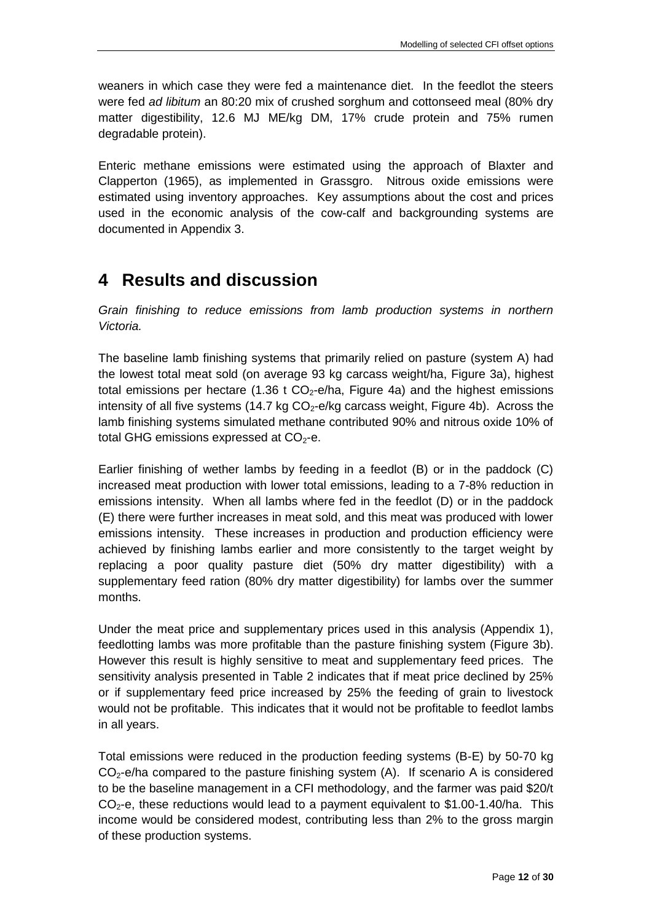weaners in which case they were fed a maintenance diet. In the feedlot the steers were fed *ad libitum* an 80:20 mix of crushed sorghum and cottonseed meal (80% dry matter digestibility, 12.6 MJ ME/kg DM, 17% crude protein and 75% rumen degradable protein).

Enteric methane emissions were estimated using the approach of Blaxter and Clapperton (1965), as implemented in Grassgro. Nitrous oxide emissions were estimated using inventory approaches. Key assumptions about the cost and prices used in the economic analysis of the cow-calf and backgrounding systems are documented in Appendix 3.

## <span id="page-11-0"></span>**4 Results and discussion**

*Grain finishing to reduce emissions from lamb production systems in northern Victoria.*

The baseline lamb finishing systems that primarily relied on pasture (system A) had the lowest total meat sold (on average 93 kg carcass weight/ha, Figure 3a), highest total emissions per hectare  $(1.36 \text{ t } CO_2$ -e/ha, Figure 4a) and the highest emissions intensity of all five systems (14.7 kg  $CO<sub>2</sub>$ -e/kg carcass weight, Figure 4b). Across the lamb finishing systems simulated methane contributed 90% and nitrous oxide 10% of total GHG emissions expressed at  $CO<sub>2</sub>$ -e.

Earlier finishing of wether lambs by feeding in a feedlot (B) or in the paddock (C) increased meat production with lower total emissions, leading to a 7-8% reduction in emissions intensity. When all lambs where fed in the feedlot (D) or in the paddock (E) there were further increases in meat sold, and this meat was produced with lower emissions intensity. These increases in production and production efficiency were achieved by finishing lambs earlier and more consistently to the target weight by replacing a poor quality pasture diet (50% dry matter digestibility) with a supplementary feed ration (80% dry matter digestibility) for lambs over the summer months.

Under the meat price and supplementary prices used in this analysis (Appendix 1), feedlotting lambs was more profitable than the pasture finishing system (Figure 3b). However this result is highly sensitive to meat and supplementary feed prices. The sensitivity analysis presented in Table 2 indicates that if meat price declined by 25% or if supplementary feed price increased by 25% the feeding of grain to livestock would not be profitable. This indicates that it would not be profitable to feedlot lambs in all years.

Total emissions were reduced in the production feeding systems (B-E) by 50-70 kg  $CO<sub>2</sub>$ -e/ha compared to the pasture finishing system (A). If scenario A is considered to be the baseline management in a CFI methodology, and the farmer was paid \$20/t  $CO<sub>2</sub>$ -e, these reductions would lead to a payment equivalent to \$1.00-1.40/ha. This income would be considered modest, contributing less than 2% to the gross margin of these production systems.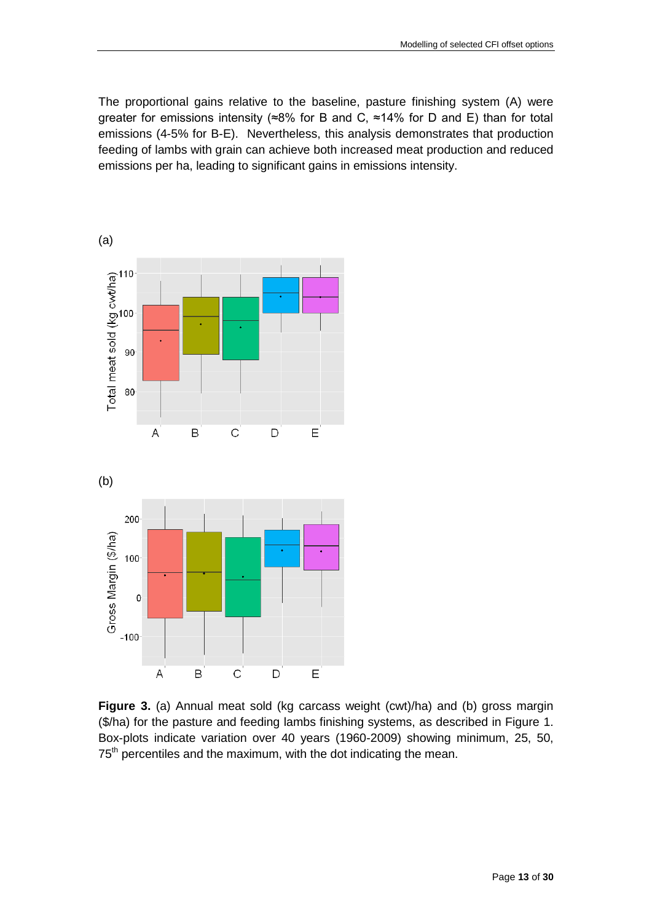The proportional gains relative to the baseline, pasture finishing system (A) were greater for emissions intensity ( $\approx 8\%$  for B and C,  $\approx 14\%$  for D and E) than for total emissions (4-5% for B-E). Nevertheless, this analysis demonstrates that production feeding of lambs with grain can achieve both increased meat production and reduced emissions per ha, leading to significant gains in emissions intensity.



**Figure 3.** (a) Annual meat sold (kg carcass weight (cwt)/ha) and (b) gross margin (\$/ha) for the pasture and feeding lambs finishing systems, as described in Figure 1. Box-plots indicate variation over 40 years (1960-2009) showing minimum, 25, 50, 75<sup>th</sup> percentiles and the maximum, with the dot indicating the mean.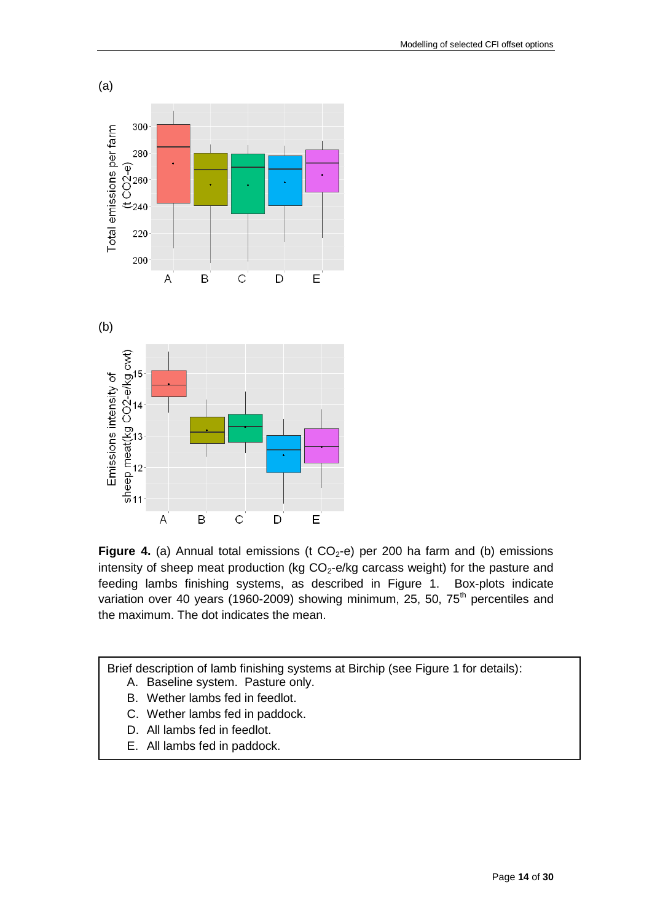



**Figure 4.** (a) Annual total emissions (t  $CO_2$ -e) per 200 ha farm and (b) emissions intensity of sheep meat production (kg  $CO<sub>2</sub>$ -e/kg carcass weight) for the pasture and feeding lambs finishing systems, as described in Figure 1. Box-plots indicate variation over 40 years (1960-2009) showing minimum, 25, 50,  $75<sup>th</sup>$  percentiles and the maximum. The dot indicates the mean.

Brief description of lamb finishing systems at Birchip (see Figure 1 for details):

- A. Baseline system. Pasture only.
- B. Wether lambs fed in feedlot.
- C. Wether lambs fed in paddock.
- D. All lambs fed in feedlot.
- E. All lambs fed in paddock.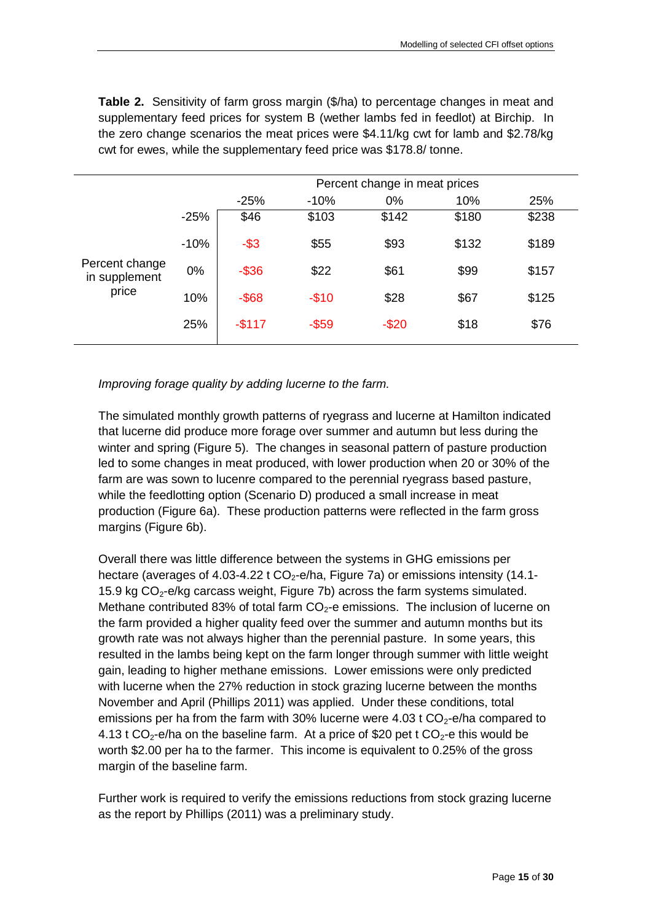**Table 2.** Sensitivity of farm gross margin (\$/ha) to percentage changes in meat and supplementary feed prices for system B (wether lambs fed in feedlot) at Birchip. In the zero change scenarios the meat prices were \$4.11/kg cwt for lamb and \$2.78/kg cwt for ewes, while the supplementary feed price was \$178.8/ tonne.

|                                 |        | Percent change in meat prices |          |          |       |       |  |
|---------------------------------|--------|-------------------------------|----------|----------|-------|-------|--|
|                                 |        | $-25%$                        | $-10%$   | 0%       | 10%   | 25%   |  |
|                                 | $-25%$ | \$46                          | \$103    | \$142    | \$180 | \$238 |  |
|                                 | $-10%$ | $-$ \$3                       | \$55     | \$93     | \$132 | \$189 |  |
| Percent change<br>in supplement | 0%     | $-$ \$36                      | \$22     | \$61     | \$99  | \$157 |  |
| price                           | 10%    | $-$ \$68                      | $-$10$   | \$28     | \$67  | \$125 |  |
|                                 | 25%    | $-$117$                       | $-$ \$59 | $-$ \$20 | \$18  | \$76  |  |

*Improving forage quality by adding lucerne to the farm.*

The simulated monthly growth patterns of ryegrass and lucerne at Hamilton indicated that lucerne did produce more forage over summer and autumn but less during the winter and spring (Figure 5). The changes in seasonal pattern of pasture production led to some changes in meat produced, with lower production when 20 or 30% of the farm are was sown to lucenre compared to the perennial ryegrass based pasture, while the feedlotting option (Scenario D) produced a small increase in meat production (Figure 6a). These production patterns were reflected in the farm gross margins (Figure 6b).

Overall there was little difference between the systems in GHG emissions per hectare (averages of 4.03-4.22 t  $CO<sub>2</sub>$ -e/ha, Figure 7a) or emissions intensity (14.1-15.9 kg  $CO<sub>2</sub>$ -e/kg carcass weight, Figure 7b) across the farm systems simulated. Methane contributed 83% of total farm CO<sub>2</sub>-e emissions. The inclusion of lucerne on the farm provided a higher quality feed over the summer and autumn months but its growth rate was not always higher than the perennial pasture. In some years, this resulted in the lambs being kept on the farm longer through summer with little weight gain, leading to higher methane emissions. Lower emissions were only predicted with lucerne when the 27% reduction in stock grazing lucerne between the months November and April (Phillips 2011) was applied. Under these conditions, total emissions per ha from the farm with 30% lucerne were 4.03 t  $CO<sub>2</sub>$ -e/ha compared to 4.13 t CO<sub>2</sub>-e/ha on the baseline farm. At a price of \$20 pet t CO<sub>2</sub>-e this would be worth \$2.00 per ha to the farmer. This income is equivalent to 0.25% of the gross margin of the baseline farm.

Further work is required to verify the emissions reductions from stock grazing lucerne as the report by Phillips (2011) was a preliminary study.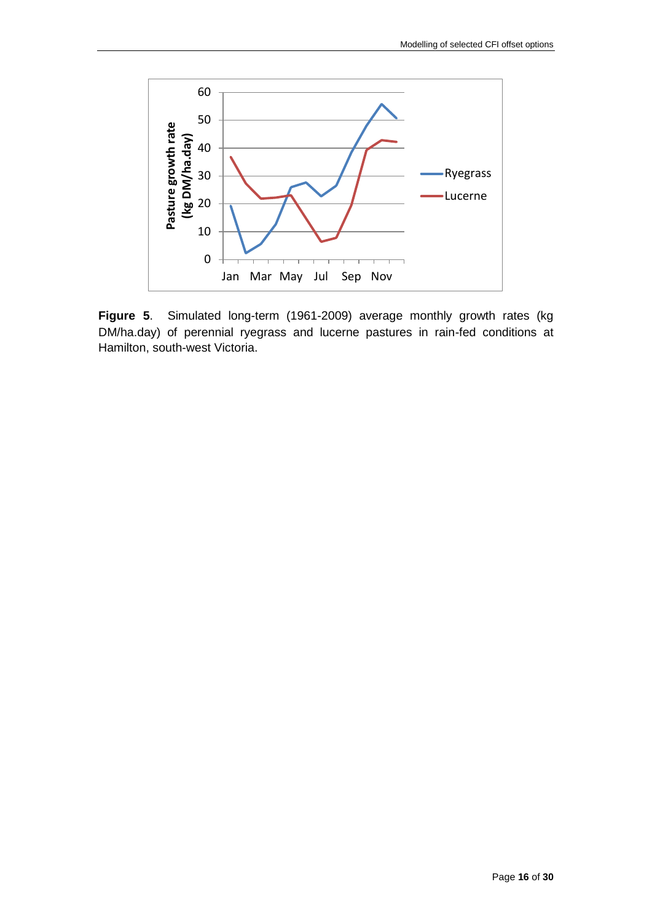

**Figure 5**. Simulated long-term (1961-2009) average monthly growth rates (kg DM/ha.day) of perennial ryegrass and lucerne pastures in rain-fed conditions at Hamilton, south-west Victoria.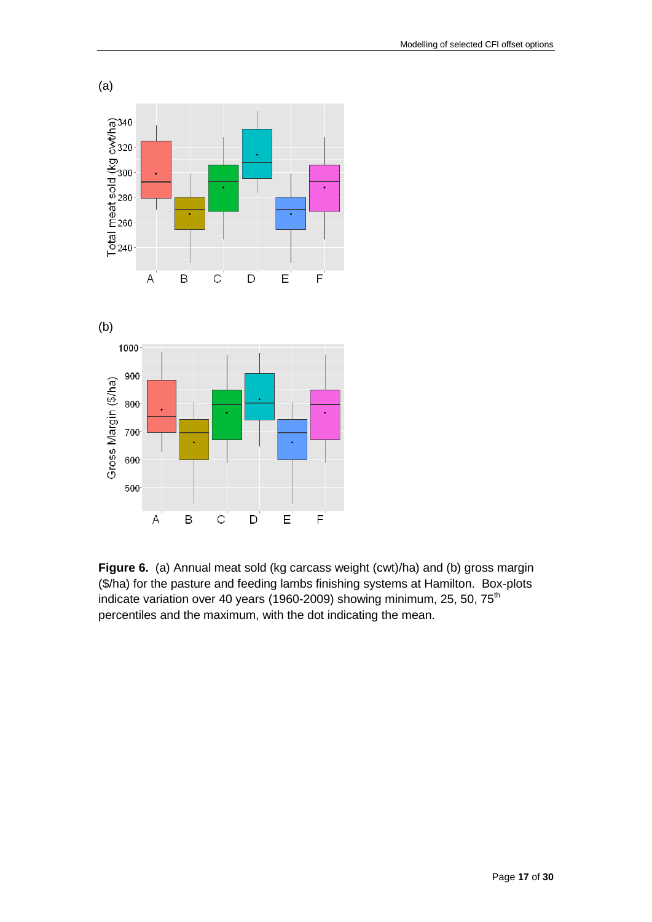

**Figure 6.** (a) Annual meat sold (kg carcass weight (cwt)/ha) and (b) gross margin (\$/ha) for the pasture and feeding lambs finishing systems at Hamilton. Box-plots indicate variation over 40 years (1960-2009) showing minimum, 25, 50,  $75<sup>th</sup>$ percentiles and the maximum, with the dot indicating the mean.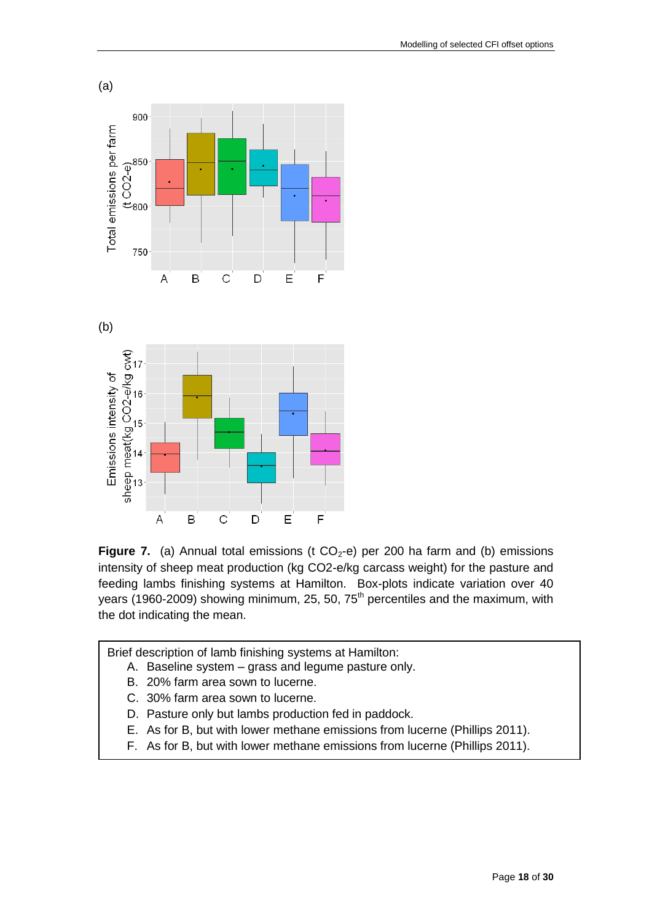



Brief description of lamb finishing systems at Hamilton:

- A. Baseline system grass and legume pasture only.
- B. 20% farm area sown to lucerne.
- C. 30% farm area sown to lucerne.
- D. Pasture only but lambs production fed in paddock.
- E. As for B, but with lower methane emissions from lucerne (Phillips 2011).
- F. As for B, but with lower methane emissions from lucerne (Phillips 2011).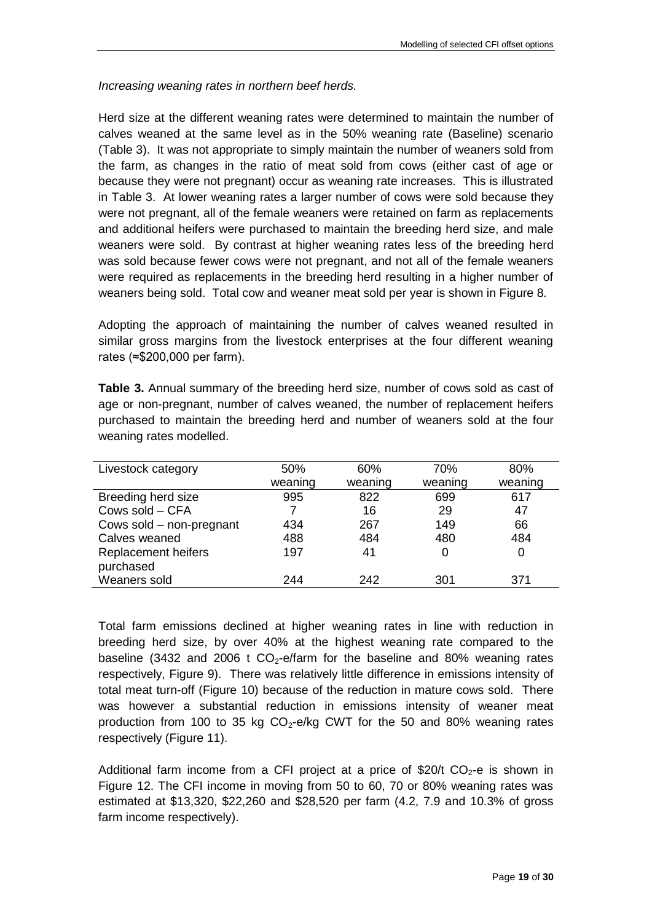*Increasing weaning rates in northern beef herds.*

Herd size at the different weaning rates were determined to maintain the number of calves weaned at the same level as in the 50% weaning rate (Baseline) scenario (Table 3). It was not appropriate to simply maintain the number of weaners sold from the farm, as changes in the ratio of meat sold from cows (either cast of age or because they were not pregnant) occur as weaning rate increases. This is illustrated in Table 3. At lower weaning rates a larger number of cows were sold because they were not pregnant, all of the female weaners were retained on farm as replacements and additional heifers were purchased to maintain the breeding herd size, and male weaners were sold. By contrast at higher weaning rates less of the breeding herd was sold because fewer cows were not pregnant, and not all of the female weaners were required as replacements in the breeding herd resulting in a higher number of weaners being sold. Total cow and weaner meat sold per year is shown in Figure 8.

Adopting the approach of maintaining the number of calves weaned resulted in similar gross margins from the livestock enterprises at the four different weaning rates (≈\$200,000 per farm).

**Table 3.** Annual summary of the breeding herd size, number of cows sold as cast of age or non-pregnant, number of calves weaned, the number of replacement heifers purchased to maintain the breeding herd and number of weaners sold at the four weaning rates modelled.

| Livestock category       | 50%     | 60%     | 70%     | 80%     |
|--------------------------|---------|---------|---------|---------|
|                          | weaning | weaning | weaning | weaning |
| Breeding herd size       | 995     | 822     | 699     | 617     |
| Cows sold - CFA          |         | 16      | 29      | 47      |
| Cows sold – non-pregnant | 434     | 267     | 149     | 66      |
| Calves weaned            | 488     | 484     | 480     | 484     |
| Replacement heifers      | 197     | 41      | 0       | 0       |
| purchased                |         |         |         |         |
| Weaners sold             | 244     | 242     | 301     | 371     |

Total farm emissions declined at higher weaning rates in line with reduction in breeding herd size, by over 40% at the highest weaning rate compared to the baseline (3432 and 2006 t  $CO_2$ -e/farm for the baseline and 80% weaning rates respectively, Figure 9). There was relatively little difference in emissions intensity of total meat turn-off (Figure 10) because of the reduction in mature cows sold. There was however a substantial reduction in emissions intensity of weaner meat production from 100 to 35 kg  $CO<sub>2</sub>$ -e/kg CWT for the 50 and 80% weaning rates respectively (Figure 11).

Additional farm income from a CFI project at a price of \$20/t  $CO<sub>2</sub>$ -e is shown in Figure 12. The CFI income in moving from 50 to 60, 70 or 80% weaning rates was estimated at \$13,320, \$22,260 and \$28,520 per farm (4.2, 7.9 and 10.3% of gross farm income respectively).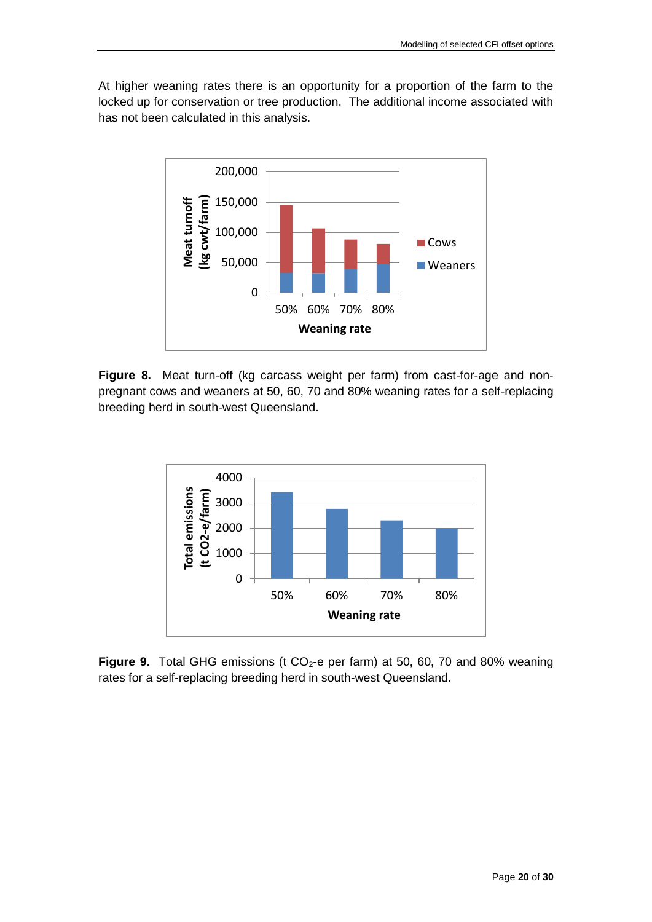At higher weaning rates there is an opportunity for a proportion of the farm to the locked up for conservation or tree production. The additional income associated with has not been calculated in this analysis.



**Figure 8.** Meat turn-off (kg carcass weight per farm) from cast-for-age and nonpregnant cows and weaners at 50, 60, 70 and 80% weaning rates for a self-replacing breeding herd in south-west Queensland.



**Figure 9.** Total GHG emissions (t CO<sub>2</sub>-e per farm) at 50, 60, 70 and 80% weaning rates for a self-replacing breeding herd in south-west Queensland.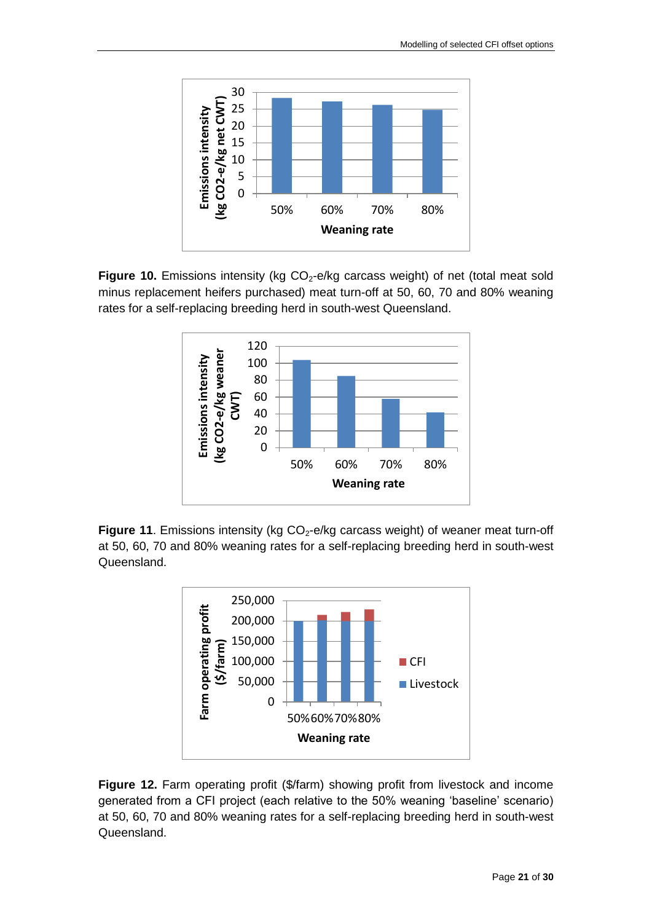

**Figure 10.** Emissions intensity (kg  $CO_2$ -e/kg carcass weight) of net (total meat sold minus replacement heifers purchased) meat turn-off at 50, 60, 70 and 80% weaning rates for a self-replacing breeding herd in south-west Queensland.



**Figure 11.** Emissions intensity (kg CO<sub>2</sub>-e/kg carcass weight) of weaner meat turn-off at 50, 60, 70 and 80% weaning rates for a self-replacing breeding herd in south-west Queensland.



**Figure 12.** Farm operating profit (\$/farm) showing profit from livestock and income generated from a CFI project (each relative to the 50% weaning 'baseline' scenario) at 50, 60, 70 and 80% weaning rates for a self-replacing breeding herd in south-west Queensland.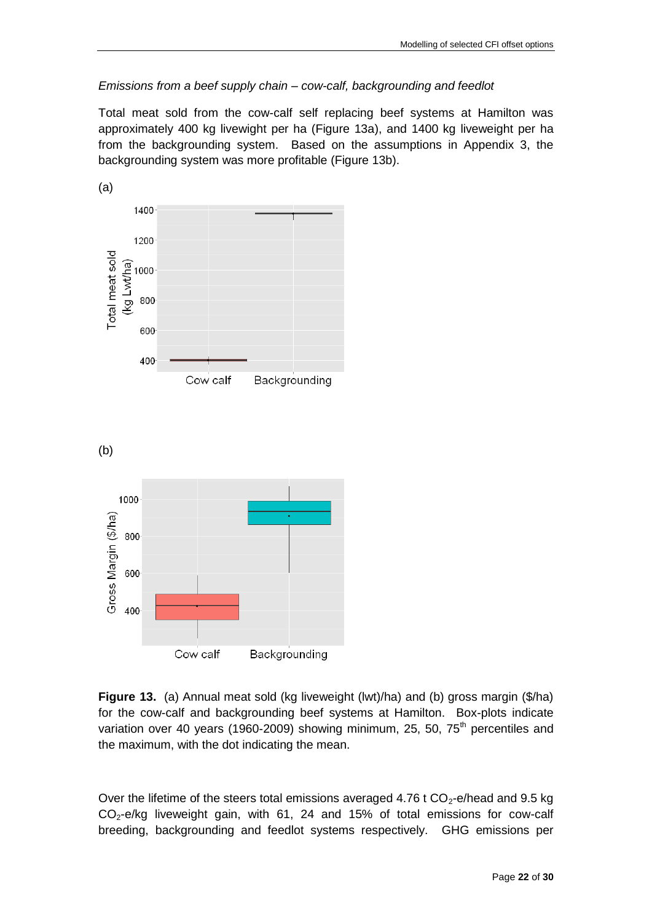#### *Emissions from a beef supply chain – cow-calf, backgrounding and feedlot*

Total meat sold from the cow-calf self replacing beef systems at Hamilton was approximately 400 kg livewight per ha (Figure 13a), and 1400 kg liveweight per ha from the backgrounding system. Based on the assumptions in Appendix 3, the backgrounding system was more profitable (Figure 13b).



**Figure 13.** (a) Annual meat sold (kg liveweight (lwt)/ha) and (b) gross margin (\$/ha) for the cow-calf and backgrounding beef systems at Hamilton. Box-plots indicate variation over 40 years (1960-2009) showing minimum, 25, 50,  $75<sup>th</sup>$  percentiles and the maximum, with the dot indicating the mean.

Over the lifetime of the steers total emissions averaged 4.76 t  $CO<sub>2</sub>$ -e/head and 9.5 kg  $CO<sub>2</sub>$ -e/kg liveweight gain, with 61, 24 and 15% of total emissions for cow-calf breeding, backgrounding and feedlot systems respectively. GHG emissions per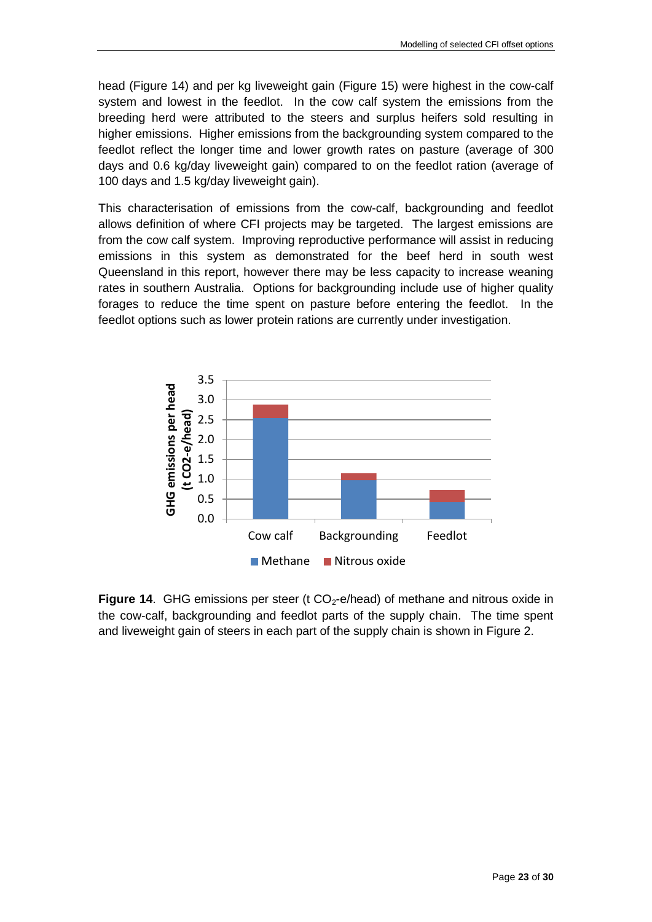head (Figure 14) and per kg liveweight gain (Figure 15) were highest in the cow-calf system and lowest in the feedlot. In the cow calf system the emissions from the breeding herd were attributed to the steers and surplus heifers sold resulting in higher emissions. Higher emissions from the backgrounding system compared to the feedlot reflect the longer time and lower growth rates on pasture (average of 300 days and 0.6 kg/day liveweight gain) compared to on the feedlot ration (average of 100 days and 1.5 kg/day liveweight gain).

This characterisation of emissions from the cow-calf, backgrounding and feedlot allows definition of where CFI projects may be targeted. The largest emissions are from the cow calf system. Improving reproductive performance will assist in reducing emissions in this system as demonstrated for the beef herd in south west Queensland in this report, however there may be less capacity to increase weaning rates in southern Australia. Options for backgrounding include use of higher quality forages to reduce the time spent on pasture before entering the feedlot. In the feedlot options such as lower protein rations are currently under investigation.



**Figure 14.** GHG emissions per steer (t CO<sub>2</sub>-e/head) of methane and nitrous oxide in the cow-calf, backgrounding and feedlot parts of the supply chain. The time spent and liveweight gain of steers in each part of the supply chain is shown in Figure 2.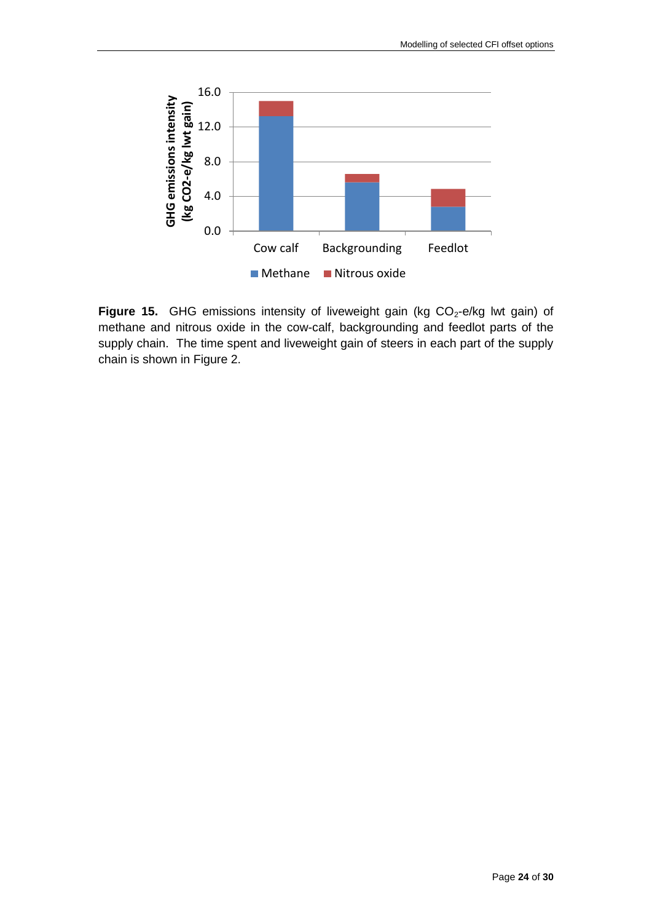

Figure 15. GHG emissions intensity of liveweight gain (kg CO<sub>2</sub>-e/kg lwt gain) of methane and nitrous oxide in the cow-calf, backgrounding and feedlot parts of the supply chain. The time spent and liveweight gain of steers in each part of the supply chain is shown in Figure 2.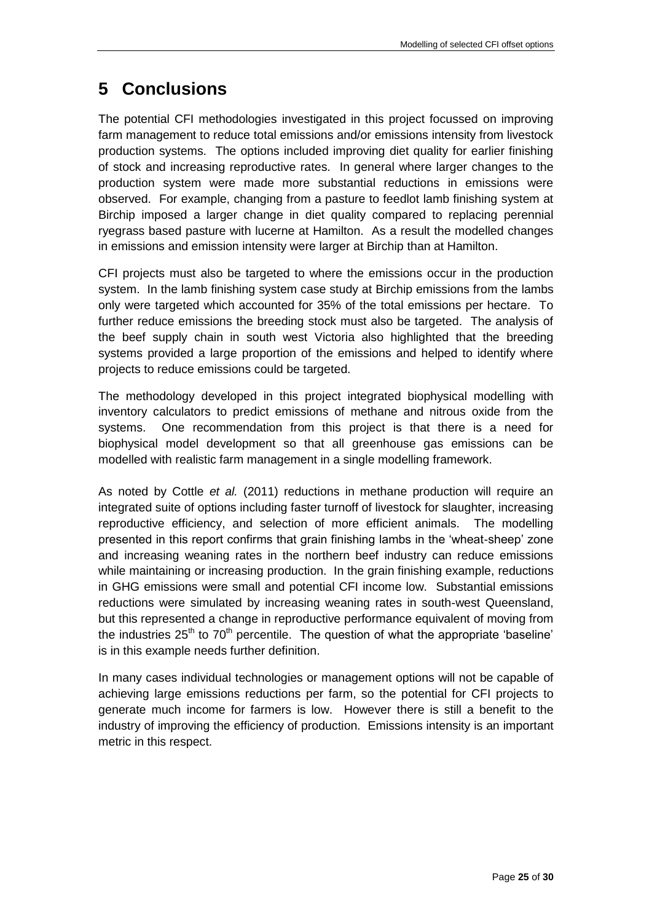## <span id="page-24-0"></span>**5 Conclusions**

The potential CFI methodologies investigated in this project focussed on improving farm management to reduce total emissions and/or emissions intensity from livestock production systems. The options included improving diet quality for earlier finishing of stock and increasing reproductive rates. In general where larger changes to the production system were made more substantial reductions in emissions were observed. For example, changing from a pasture to feedlot lamb finishing system at Birchip imposed a larger change in diet quality compared to replacing perennial ryegrass based pasture with lucerne at Hamilton. As a result the modelled changes in emissions and emission intensity were larger at Birchip than at Hamilton.

CFI projects must also be targeted to where the emissions occur in the production system. In the lamb finishing system case study at Birchip emissions from the lambs only were targeted which accounted for 35% of the total emissions per hectare. To further reduce emissions the breeding stock must also be targeted. The analysis of the beef supply chain in south west Victoria also highlighted that the breeding systems provided a large proportion of the emissions and helped to identify where projects to reduce emissions could be targeted.

The methodology developed in this project integrated biophysical modelling with inventory calculators to predict emissions of methane and nitrous oxide from the systems. One recommendation from this project is that there is a need for biophysical model development so that all greenhouse gas emissions can be modelled with realistic farm management in a single modelling framework.

As noted by Cottle *et al.* (2011) reductions in methane production will require an integrated suite of options including faster turnoff of livestock for slaughter, increasing reproductive efficiency, and selection of more efficient animals. The modelling presented in this report confirms that grain finishing lambs in the 'wheat-sheep' zone and increasing weaning rates in the northern beef industry can reduce emissions while maintaining or increasing production. In the grain finishing example, reductions in GHG emissions were small and potential CFI income low. Substantial emissions reductions were simulated by increasing weaning rates in south-west Queensland, but this represented a change in reproductive performance equivalent of moving from the industries  $25<sup>th</sup>$  to  $70<sup>th</sup>$  percentile. The question of what the appropriate 'baseline' is in this example needs further definition.

In many cases individual technologies or management options will not be capable of achieving large emissions reductions per farm, so the potential for CFI projects to generate much income for farmers is low. However there is still a benefit to the industry of improving the efficiency of production. Emissions intensity is an important metric in this respect.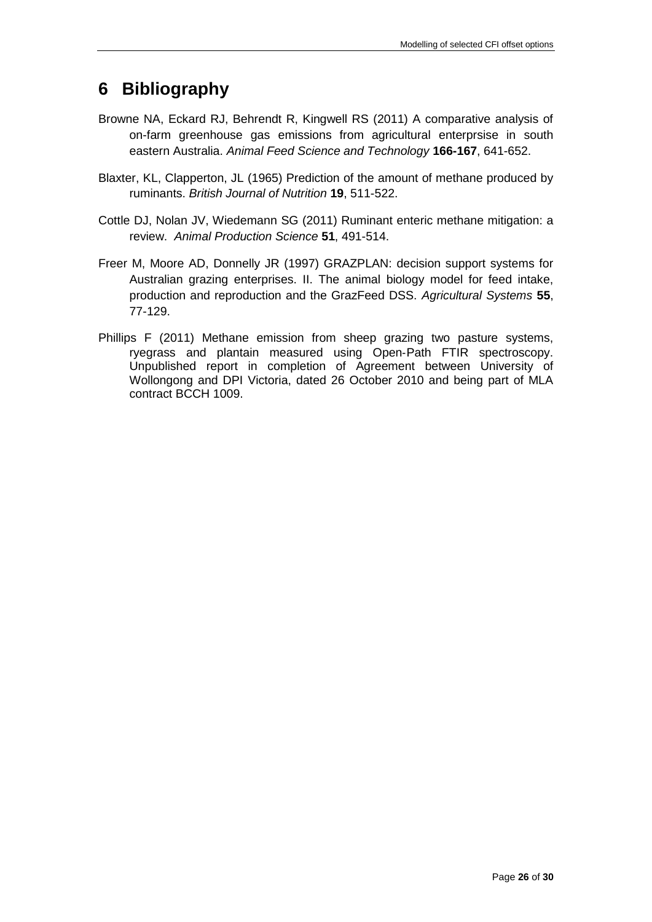## <span id="page-25-0"></span>**6 Bibliography**

- Browne NA, Eckard RJ, Behrendt R, Kingwell RS (2011) A comparative analysis of on-farm greenhouse gas emissions from agricultural enterprsise in south eastern Australia. *Animal Feed Science and Technology* **166-167**, 641-652.
- Blaxter, KL, Clapperton, JL (1965) Prediction of the amount of methane produced by ruminants. *British Journal of Nutrition* **19**, 511-522.
- Cottle DJ, Nolan JV, Wiedemann SG (2011) Ruminant enteric methane mitigation: a review. *Animal Production Science* **51**, 491-514.
- Freer M, Moore AD, Donnelly JR (1997) GRAZPLAN: decision support systems for Australian grazing enterprises. II. The animal biology model for feed intake, production and reproduction and the GrazFeed DSS. *Agricultural Systems* **55**, 77-129.
- Phillips F (2011) Methane emission from sheep grazing two pasture systems, ryegrass and plantain measured using Open‐Path FTIR spectroscopy. Unpublished report in completion of Agreement between University of Wollongong and DPI Victoria, dated 26 October 2010 and being part of MLA contract BCCH 1009.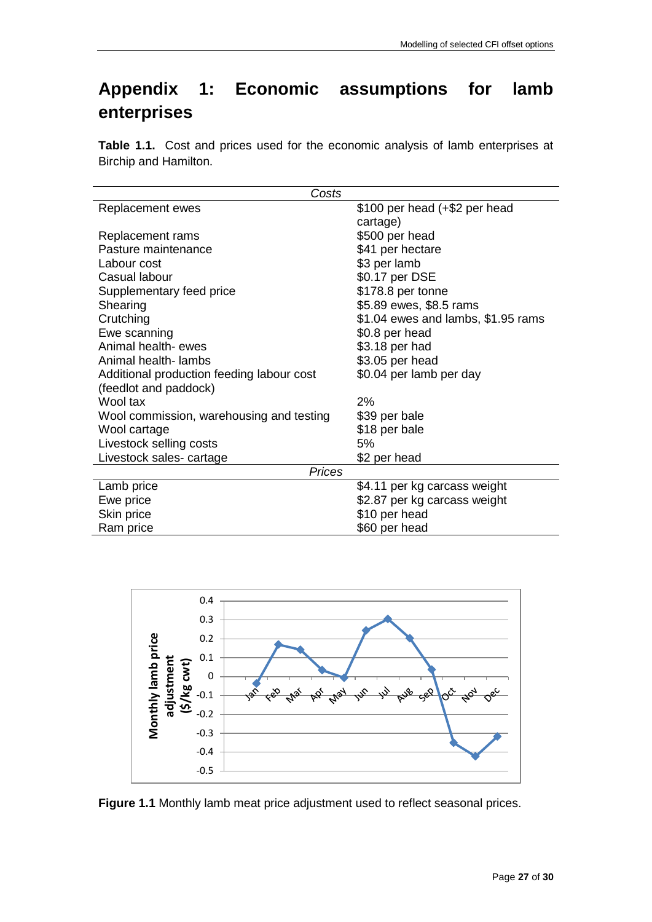# **Appendix 1: Economic assumptions for lamb enterprises**

**Table 1.1.** Cost and prices used for the economic analysis of lamb enterprises at Birchip and Hamilton.

| Costs                                     |                                    |
|-------------------------------------------|------------------------------------|
| Replacement ewes                          | \$100 per head (+\$2 per head      |
|                                           | cartage)                           |
| Replacement rams                          | \$500 per head                     |
| Pasture maintenance                       | \$41 per hectare                   |
| Labour cost                               | \$3 per lamb                       |
| Casual labour                             | \$0.17 per DSE                     |
| Supplementary feed price                  | \$178.8 per tonne                  |
| Shearing                                  | \$5.89 ewes, \$8.5 rams            |
| Crutching                                 | \$1.04 ewes and lambs, \$1.95 rams |
| Ewe scanning                              | \$0.8 per head                     |
| Animal health- ewes                       | \$3.18 per had                     |
| Animal health- lambs                      | \$3.05 per head                    |
| Additional production feeding labour cost | \$0.04 per lamb per day            |
| (feedlot and paddock)                     |                                    |
| Wool tax                                  | 2%                                 |
| Wool commission, warehousing and testing  | \$39 per bale                      |
| Wool cartage                              | \$18 per bale                      |
| Livestock selling costs                   | 5%                                 |
| Livestock sales-cartage                   | \$2 per head                       |
| <b>Prices</b>                             |                                    |
| Lamb price                                | \$4.11 per kg carcass weight       |
| Ewe price                                 | \$2.87 per kg carcass weight       |
| Skin price                                | \$10 per head                      |
| Ram price                                 | \$60 per head                      |



**Figure 1.1** Monthly lamb meat price adjustment used to reflect seasonal prices.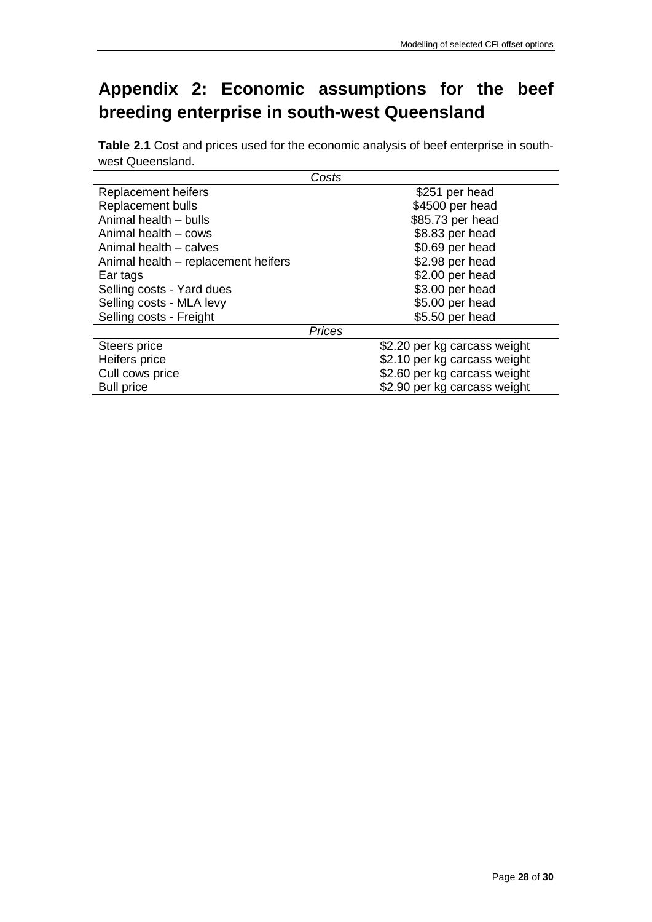# **Appendix 2: Economic assumptions for the beef breeding enterprise in south-west Queensland**

**Table 2.1** Cost and prices used for the economic analysis of beef enterprise in southwest Queensland.

|                                     | Costs                        |
|-------------------------------------|------------------------------|
| Replacement heifers                 | \$251 per head               |
| <b>Replacement bulls</b>            | \$4500 per head              |
| Animal health - bulls               | \$85.73 per head             |
| Animal health - cows                | \$8.83 per head              |
| Animal health – calves              | \$0.69 per head              |
| Animal health - replacement heifers | \$2.98 per head              |
| Ear tags                            | \$2.00 per head              |
| Selling costs - Yard dues           | \$3.00 per head              |
| Selling costs - MLA levy            | \$5.00 per head              |
| Selling costs - Freight             | \$5.50 per head              |
|                                     | <b>Prices</b>                |
| Steers price                        | \$2.20 per kg carcass weight |
| Heifers price                       | \$2.10 per kg carcass weight |
| Cull cows price                     | \$2.60 per kg carcass weight |
| <b>Bull price</b>                   | \$2.90 per kg carcass weight |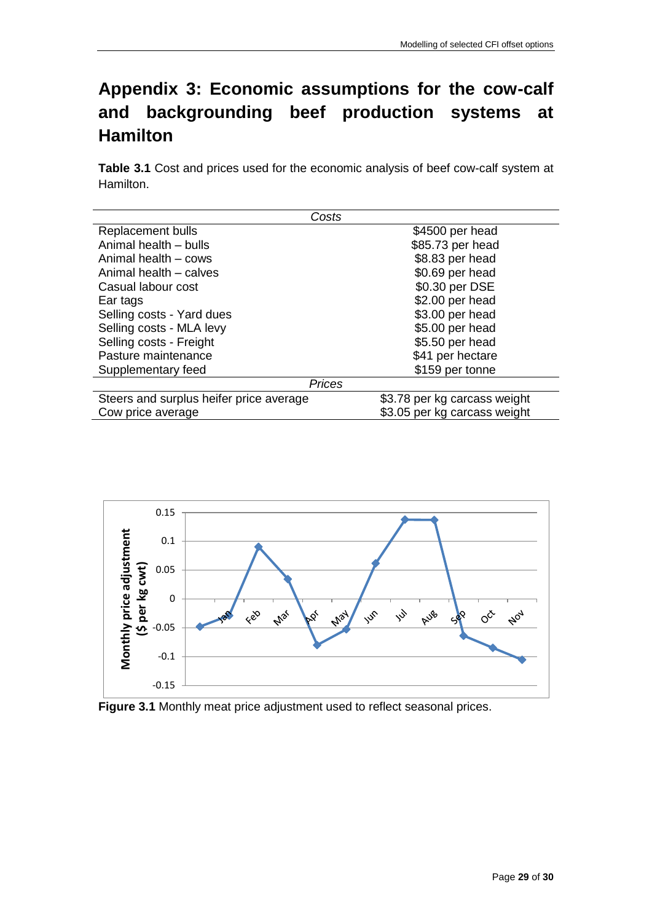# **Appendix 3: Economic assumptions for the cow-calf and backgrounding beef production systems at Hamilton**

**Table 3.1** Cost and prices used for the economic analysis of beef cow-calf system at Hamilton.

| Costs                                   |                              |
|-----------------------------------------|------------------------------|
| Replacement bulls                       | \$4500 per head              |
| Animal health - bulls                   | \$85.73 per head             |
| Animal health - cows                    | \$8.83 per head              |
| Animal health - calves                  | \$0.69 per head              |
| Casual labour cost                      | \$0.30 per DSE               |
| Ear tags                                | \$2.00 per head              |
| Selling costs - Yard dues               | \$3.00 per head              |
| Selling costs - MLA levy                | \$5.00 per head              |
| Selling costs - Freight                 | \$5.50 per head              |
| Pasture maintenance                     | \$41 per hectare             |
| Supplementary feed                      | \$159 per tonne              |
| <b>Prices</b>                           |                              |
| Steers and surplus heifer price average | \$3.78 per kg carcass weight |
| Cow price average                       | \$3.05 per kg carcass weight |



**Figure 3.1** Monthly meat price adjustment used to reflect seasonal prices.